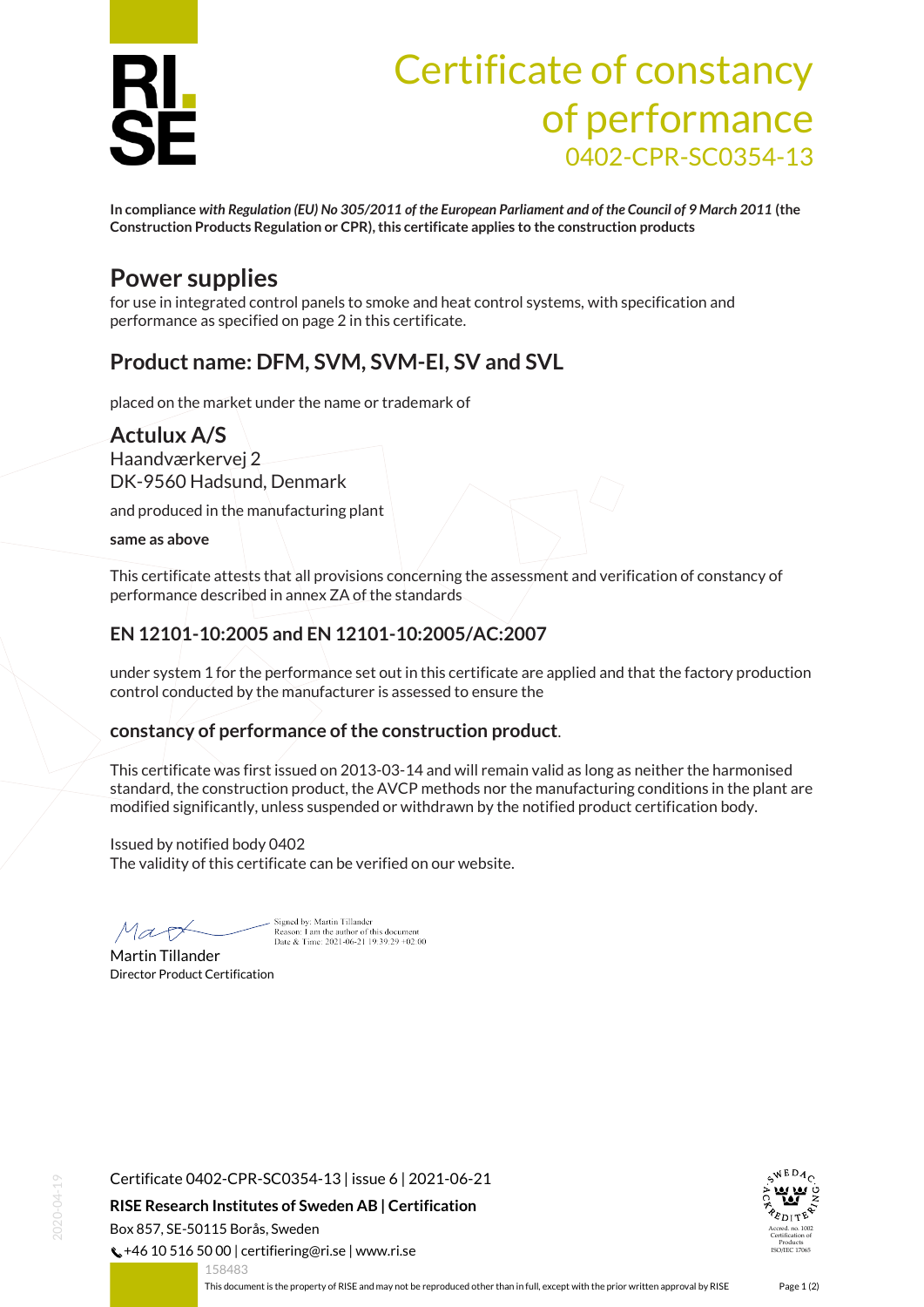

# Certificate of constancy of performance 0402-CPR-SC0354-13

**In compliance** *with Regulation (EU) No 305/2011 of the European Parliament and of the Council of 9 March 2011* **(the Construction Products Regulation or CPR), this certificate applies to the construction products**

### **Power supplies**

for use in integrated control panels to smoke and heat control systems, with specification and performance as specified on page 2 in this certificate.

#### **Product name: DFM, SVM, SVM-EI, SV and SVL**

placed on the market under the name or trademark of

#### **Actulux A/S**

Haandværkervej 2 DK-9560 Hadsund, Denmark

and produced in the manufacturing plant

**same as above**

This certificate attests that all provisions concerning the assessment and verification of constancy of performance described in annex ZA of the standards

#### **EN 12101-10:2005 and EN 12101-10:2005/AC:2007**

under system 1 for the performance set out in this certificate are applied and that the factory production control conducted by the manufacturer is assessed to ensure the

#### **constancy of performance of the construction product**.

This certificate was first issued on 2013-03-14 and will remain valid as long as neither the harmonised standard, the construction product, the AVCP methods nor the manufacturing conditions in the plant are modified significantly, unless suspended or withdrawn by the notified product certification body.

Issued by notified body 0402 The validity of this certificate can be verified on our website.

Sioned by: Martin Tillander

Reason: I am the author of this document<br>Date & Time: 2021-06-21 19:39:29 +02:00

Map

Martin Tillander Director Product Certification

Certificate 0402-CPR-SC0354-13 | issue 6 | 2021-06-21

**RISE Research Institutes of Sweden AB | Certification**

Box 857, SE-50115 Borås, Sweden

 $\binom{1}{2}$  +46 10 516 50 00 | certifiering@ri.se | www.ri.se



<span id="page-0-0"></span>